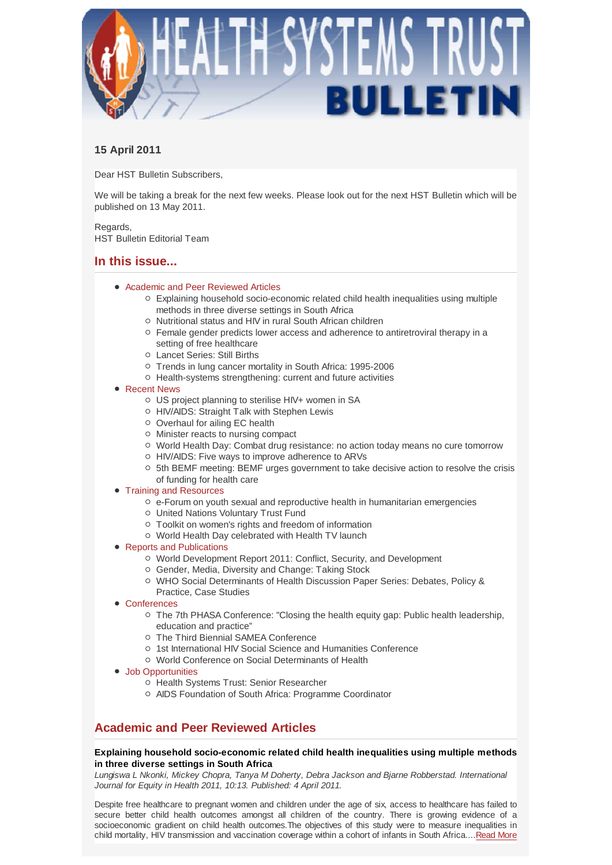

# **15 April 2011**

Dear HST Bulletin Subscribers,

We will be taking a break for the next few weeks. Please look out for the next HST Bulletin which will be published on 13 May 2011.

Regards, HST Bulletin Editorial Team

# **In this issue...**

- Academic and Peer Reviewed Articles
	- $\circ$  Explaining household socio-economic related child health inequalities using multiple methods in three diverse settings in South Africa
	- o Nutritional status and HIV in rural South African children
	- $\circ$  Female gender predicts lower access and adherence to antiretroviral therapy in a setting of free healthcare
	- Lancet Series: Still Births
	- Trends in lung cancer mortality in South Africa: 1995-2006
	- $\circ$  Health-systems strengthening: current and future activities
- Recent News
	- US project planning to sterilise HIV+ women in SA
	- HIV/AIDS: Straight Talk with Stephen Lewis
	- Overhaul for ailing EC health
	- Minister reacts to nursing compact
	- World Health Day: Combat drug resistance: no action today means no cure tomorrow
	- HIV/AIDS: Five ways to improve adherence to ARVs
	- $\circ$  5th BEMF meeting: BEMF urges government to take decisive action to resolve the crisis of funding for health care
- **Training and Resources** 
	- $\circ$  e-Forum on youth sexual and reproductive health in humanitarian emergencies
	- United Nations Voluntary Trust Fund
	- Toolkit on women's rights and freedom of information
	- World Health Day celebrated with Health TV launch
- Reports and Publications
	- World Development Report 2011: Conflict, Security, and Development
	- Gender, Media, Diversity and Change: Taking Stock
	- WHO Social Determinants of Health Discussion Paper Series: Debates, Policy & Practice, Case Studies
- Conferences
	- The 7th PHASA Conference: "Closing the health equity gap: Public health leadership, education and practice"
	- The Third Biennial SAMEA Conference
	- o 1st International HIV Social Science and Humanities Conference
	- World Conference on Social Determinants of Health
- Job Opportunities
	- o Health Systems Trust: Senior Researcher
	- AIDS Foundation of South Africa: Programme Coordinator

# **Academic and Peer Reviewed Articles**

# **Explaining household socio-economic related child health inequalities using multiple methods in three diverse settings in South Africa**

*Lungiswa L Nkonki, Mickey Chopra, Tanya M Doherty, Debra Jackson and Bjarne Robberstad. International Journal for Equity in Health 2011, 10:13. Published: 4 April 2011.*

Despite free healthcare to pregnant women and children under the age of six, access to healthcare has failed to secure better child health outcomes amongst all children of the country. There is growing evidence of a socioeconomic gradient on child health outcomes.The objectives of this study were to measure inequalities in child mortality, HIV transmission and vaccination coverage within a cohort of infants in South Africa....Read More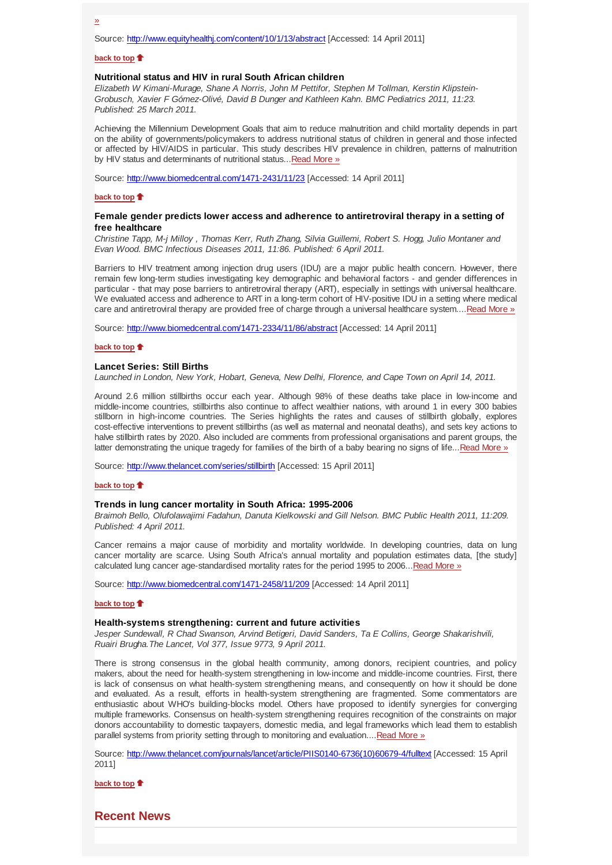Source: http://www.equityhealthj.com/content/10/1/13/abstract [Accessed: 14 April 2011]

### **back to top**

# **Nutritional status and HIV in rural South African children**

*Elizabeth W Kimani-Murage, Shane A Norris, John M Pettifor, Stephen M Tollman, Kerstin Klipstein-Grobusch, Xavier F Gómez-Olivé, David B Dunger and Kathleen Kahn. BMC Pediatrics 2011, 11:23. Published: 25 March 2011.*

Achieving the Millennium Development Goals that aim to reduce malnutrition and child mortality depends in part on the ability of governments/policymakers to address nutritional status of children in general and those infected or affected by HIV/AIDS in particular. This study describes HIV prevalence in children, patterns of malnutrition by HIV status and determinants of nutritional status...Read More »

Source: http://www.biomedcentral.com/1471-2431/11/23 [Accessed: 14 April 2011]

### **back to top**

# **Female gender predicts lower access and adherence to antiretroviral therapy in a setting of free healthcare**

*Christine Tapp, M-j Milloy , Thomas Kerr, Ruth Zhang, Silvia Guillemi, Robert S. Hogg, Julio Montaner and Evan Wood. BMC Infectious Diseases 2011, 11:86. Published: 6 April 2011.*

Barriers to HIV treatment among injection drug users (IDU) are a major public health concern. However, there remain few long-term studies investigating key demographic and behavioral factors - and gender differences in particular - that may pose barriers to antiretroviral therapy (ART), especially in settings with universal healthcare. We evaluated access and adherence to ART in a long-term cohort of HIV-positive IDU in a setting where medical care and antiretroviral therapy are provided free of charge through a universal healthcare system....Read More »

Source: http://www.biomedcentral.com/1471-2334/11/86/abstract [Accessed: 14 April 2011]

#### **back to top**

### **Lancet Series: Still Births**

*Launched in London, New York, Hobart, Geneva, New Delhi, Florence, and Cape Town on April 14, 2011.*

Around 2.6 million stillbirths occur each year. Although 98% of these deaths take place in low-income and middle-income countries, stillbirths also continue to affect wealthier nations, with around 1 in every 300 babies stillborn in high-income countries. The Series highlights the rates and causes of stillbirth globally, explores cost-effective interventions to prevent stillbirths (as well as maternal and neonatal deaths), and sets key actions to halve stillbirth rates by 2020. Also included are comments from professional organisations and parent groups, the latter demonstrating the unique tragedy for families of the birth of a baby bearing no signs of life...Read More »

Source: http://www.thelancet.com/series/stillbirth [Accessed: 15 April 2011]

## **back to top**

# **Trends in lung cancer mortality in South Africa: 1995-2006**

*Braimoh Bello, Olufolawajimi Fadahun, Danuta Kielkowski and Gill Nelson. BMC Public Health 2011, 11:209. Published: 4 April 2011.*

Cancer remains a major cause of morbidity and mortality worldwide. In developing countries, data on lung cancer mortality are scarce. Using South Africa's annual mortality and population estimates data, [the study] calculated lung cancer age-standardised mortality rates for the period 1995 to 2006...Read More »

Source: http://www.biomedcentral.com/1471-2458/11/209 [Accessed: 14 April 2011]

#### **back to top**

## **Health-systems strengthening: current and future activities**

*Jesper Sundewall, R Chad Swanson, Arvind Betigeri, David Sanders, Ta E Collins, George Shakarishvili, Ruairi Brugha.The Lancet, Vol 377, Issue 9773, 9 April 2011.*

There is strong consensus in the global health community, among donors, recipient countries, and policy makers, about the need for health-system strengthening in low-income and middle-income countries. First, there is lack of consensus on what health-system strengthening means, and consequently on how it should be done and evaluated. As a result, efforts in health-system strengthening are fragmented. Some commentators are enthusiastic about WHO's building-blocks model. Others have proposed to identify synergies for converging multiple frameworks. Consensus on health-system strengthening requires recognition of the constraints on major donors accountability to domestic taxpayers, domestic media, and legal frameworks which lead them to establish parallel systems from priority setting through to monitoring and evaluation....Read More »

Source: http://www.thelancet.com/journals/lancet/article/PIIS0140-6736(10)60679-4/fulltext [Accessed: 15 April 2011]

**back to top**

**Recent News**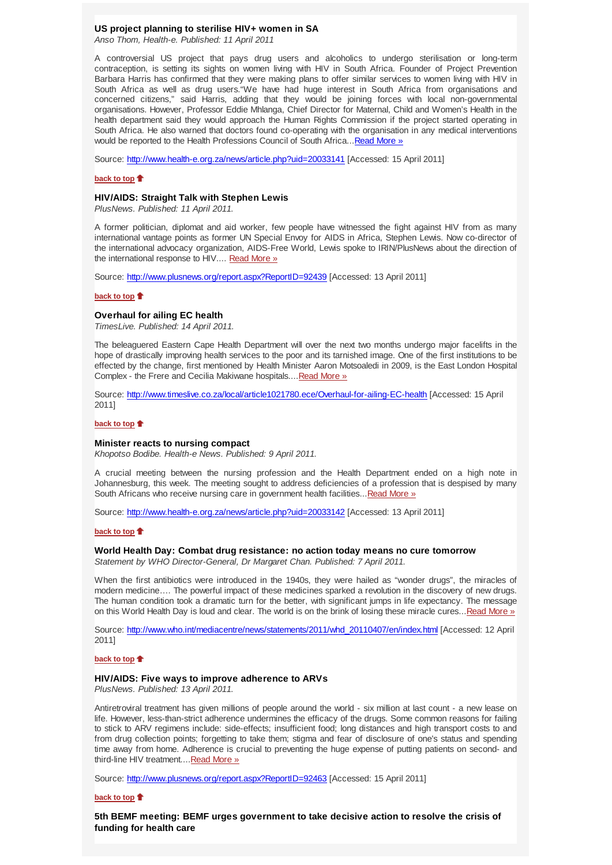## **US project planning to sterilise HIV+ women in SA**

*Anso Thom, Health-e. Published: 11 April 2011*

A controversial US project that pays drug users and alcoholics to undergo sterilisation or long-term contraception, is setting its sights on women living with HIV in South Africa. Founder of Project Prevention Barbara Harris has confirmed that they were making plans to offer similar services to women living with HIV in South Africa as well as drug users."We have had huge interest in South Africa from organisations and concerned citizens," said Harris, adding that they would be joining forces with local non-governmental organisations. However, Professor Eddie Mhlanga, Chief Director for Maternal, Child and Women's Health in the health department said they would approach the Human Rights Commission if the project started operating in South Africa. He also warned that doctors found co-operating with the organisation in any medical interventions would be reported to the Health Professions Council of South Africa... Read More »

Source: http://www.health-e.org.za/news/article.php?uid=20033141 [Accessed: 15 April 2011]

# **back to top**

# **HIV/AIDS: Straight Talk with Stephen Lewis**

*PlusNews. Published: 11 April 2011.*

A former politician, diplomat and aid worker, few people have witnessed the fight against HIV from as many international vantage points as former UN Special Envoy for AIDS in Africa, Stephen Lewis. Now co-director of the international advocacy organization, AIDS-Free World, Lewis spoke to IRIN/PlusNews about the direction of the international response to HIV.... Read More »

Source: http://www.plusnews.org/report.aspx?ReportID=92439 [Accessed: 13 April 2011]

#### **back to top**

#### **Overhaul for ailing EC health**

*TimesLive. Published: 14 April 2011.*

The beleaguered Eastern Cape Health Department will over the next two months undergo major facelifts in the hope of drastically improving health services to the poor and its tarnished image. One of the first institutions to be effected by the change, first mentioned by Health Minister Aaron Motsoaledi in 2009, is the East London Hospital Complex - the Frere and Cecilia Makiwane hospitals.... Read More »

Source: http://www.timeslive.co.za/local/article1021780.ece/Overhaul-for-ailing-EC-health [Accessed: 15 April 2011]

# **back to top**

## **Minister reacts to nursing compact**

*Khopotso Bodibe. Health-e News. Published: 9 April 2011.*

A crucial meeting between the nursing profession and the Health Department ended on a high note in Johannesburg, this week. The meeting sought to address deficiencies of a profession that is despised by many South Africans who receive nursing care in government health facilities... Read More »

Source: http://www.health-e.org.za/news/article.php?uid=20033142 [Accessed: 13 April 2011]

#### **back to top**

# **World Health Day: Combat drug resistance: no action today means no cure tomorrow**

*Statement by WHO Director-General, Dr Margaret Chan. Published: 7 April 2011.*

When the first antibiotics were introduced in the 1940s, they were hailed as "wonder drugs", the miracles of modern medicine…. The powerful impact of these medicines sparked a revolution in the discovery of new drugs. The human condition took a dramatic turn for the better, with significant jumps in life expectancy. The message on this World Health Day is loud and clear. The world is on the brink of losing these miracle cures...Read More »

Source: http://www.who.int/mediacentre/news/statements/2011/whd\_20110407/en/index.html [Accessed: 12 April 2011]

#### **back to top**

## **HIV/AIDS: Five ways to improve adherence to ARVs**

*PlusNews. Published: 13 April 2011.*

Antiretroviral treatment has given millions of people around the world - six million at last count - a new lease on life. However, less-than-strict adherence undermines the efficacy of the drugs. Some common reasons for failing to stick to ARV regimens include: side-effects; insufficient food; long distances and high transport costs to and from drug collection points; forgetting to take them; stigma and fear of disclosure of one's status and spending time away from home. Adherence is crucial to preventing the huge expense of putting patients on second- and third-line HIV treatment....Read More »

Source: http://www.plusnews.org/report.aspx?ReportID=92463 [Accessed: 15 April 2011]

#### **back to top**

**5th BEMF meeting: BEMF urges government to take decisive action to resolve the crisis of funding for health care**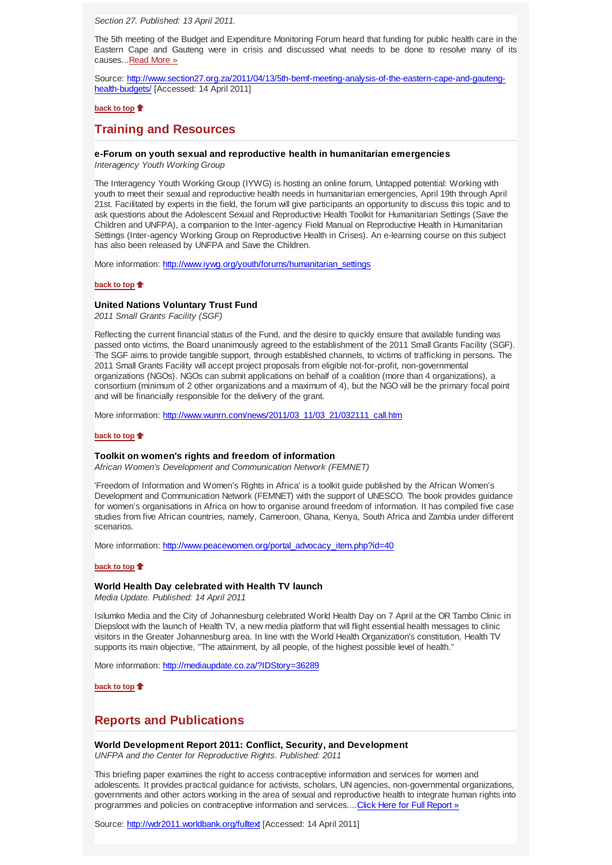*Section 27. Published: 13 April 2011.*

The 5th meeting of the Budget and Expenditure Monitoring Forum heard that funding for public health care in the Eastern Cape and Gauteng were in crisis and discussed what needs to be done to resolve many of its causes...Read More »

Source: http://www.section27.org.za/2011/04/13/5th-bemf-meeting-analysis-of-the-eastern-cape-and-gautenghealth-budgets/ [Accessed: 14 April 2011]

# **back to top**

# **Training and Resources**

# **e-Forum on youth sexual and reproductive health in humanitarian emergencies**

*Interagency Youth Working Group*

The Interagency Youth Working Group (IYWG) is hosting an online forum, Untapped potential: Working with youth to meet their sexual and reproductive health needs in humanitarian emergencies, April 19th through April 21st. Facilitated by experts in the field, the forum will give participants an opportunity to discuss this topic and to ask questions about the Adolescent Sexual and Reproductive Health Toolkit for Humanitarian Settings (Save the Children and UNFPA), a companion to the Inter-agency Field Manual on Reproductive Health in Humanitarian Settings (Inter-agency Working Group on Reproductive Health in Crises). An e-learning course on this subject has also been released by UNFPA and Save the Children.

More information: http://www.iywg.org/youth/forums/humanitarian\_settings

# **back to top**

### **United Nations Voluntary Trust Fund**

*2011 Small Grants Facility (SGF)*

Reflecting the current financial status of the Fund, and the desire to quickly ensure that available funding was passed onto victims, the Board unanimously agreed to the establishment of the 2011 Small Grants Facility (SGF). The SGF aims to provide tangible support, through established channels, to victims of trafficking in persons. The 2011 Small Grants Facility will accept project proposals from eligible not-for-profit, non-governmental organizations (NGOs). NGOs can submit applications on behalf of a coalition (more than 4 organizations), a consortium (minimum of 2 other organizations and a maximum of 4), but the NGO will be the primary focal point and will be financially responsible for the delivery of the grant.

More information: http://www.wunrn.com/news/2011/03\_11/03\_21/032111\_call.htm

# **back to top**

# **Toolkit on women's rights and freedom of information**

*African Women's Development and Communication Network (FEMNET)*

'Freedom of Information and Women's Rights in Africa' is a toolkit guide published by the African Women's Development and Communication Network (FEMNET) with the support of UNESCO. The book provides guidance for women's organisations in Africa on how to organise around freedom of information. It has compiled five case studies from five African countries, namely, Cameroon, Ghana, Kenya, South Africa and Zambia under different scenarios.

More information: http://www.peacewomen.org/portal\_advocacy\_item.php?id=40

### **back to top**

### **World Health Day celebrated with Health TV launch**

*Media Update. Published: 14 April 2011*

Isilumko Media and the City of Johannesburg celebrated World Health Day on 7 April at the OR Tambo Clinic in Diepsloot with the launch of Health TV, a new media platform that will flight essential health messages to clinic visitors in the Greater Johannesburg area. In line with the World Health Organization's constitution, Health TV supports its main objective, "The attainment, by all people, of the highest possible level of health."

More information: http://mediaupdate.co.za/?IDStory=36289

**back to top**

# **Reports and Publications**

# **World Development Report 2011: Conflict, Security, and Development**

*UNFPA and the Center for Reproductive Rights. Published: 2011*

This briefing paper examines the right to access contraceptive information and services for women and adolescents. It provides practical guidance for activists, scholars, UN agencies, non-governmental organizations, governments and other actors working in the area of sexual and reproductive health to integrate human rights into programmes and policies on contraceptive information and services....Click Here for Full Report »

Source: http://wdr2011.worldbank.org/fulltext [Accessed: 14 April 2011]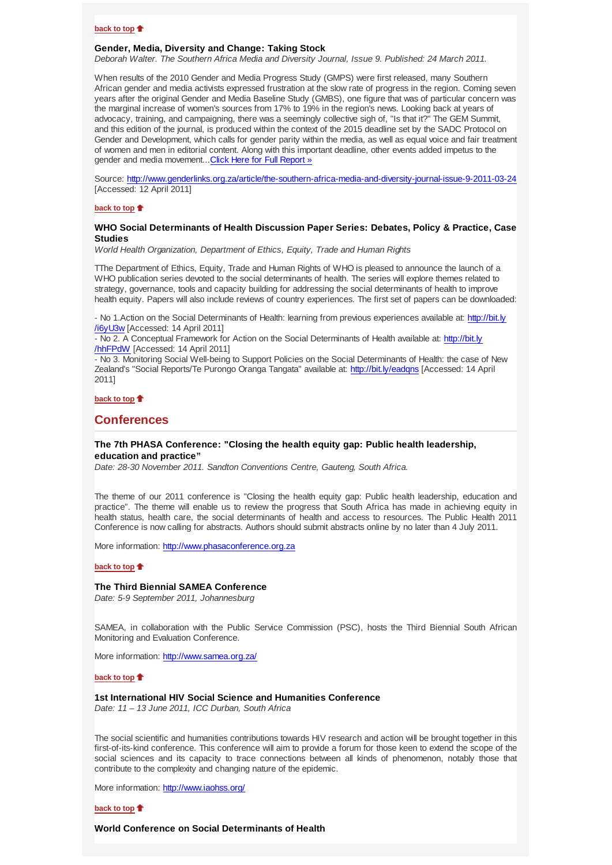## **back to top**

### **Gender, Media, Diversity and Change: Taking Stock**

*Deborah Walter. The Southern Africa Media and Diversity Journal, Issue 9. Published: 24 March 2011.*

When results of the 2010 Gender and Media Progress Study (GMPS) were first released, many Southern African gender and media activists expressed frustration at the slow rate of progress in the region. Coming seven years after the original Gender and Media Baseline Study (GMBS), one figure that was of particular concern was the marginal increase of women's sources from 17% to 19% in the region's news. Looking back at years of advocacy, training, and campaigning, there was a seemingly collective sigh of, "Is that it?" The GEM Summit, and this edition of the journal, is produced within the context of the 2015 deadline set by the SADC Protocol on Gender and Development, which calls for gender parity within the media, as well as equal voice and fair treatment of women and men in editorial content. Along with this important deadline, other events added impetus to the gender and media movement...Click Here for Full Report »

Source: http://www.genderlinks.org.za/article/the-southern-africa-media-and-diversity-journal-issue-9-2011-03-24 [Accessed: 12 April 2011]

### **back to top**

## **WHO Social Determinants of Health Discussion Paper Series: Debates, Policy & Practice, Case Studies**

*World Health Organization, Department of Ethics, Equity, Trade and Human Rights*

TThe Department of Ethics, Equity, Trade and Human Rights of WHO is pleased to announce the launch of a WHO publication series devoted to the social determinants of health. The series will explore themes related to strategy, governance, tools and capacity building for addressing the social determinants of health to improve health equity. Papers will also include reviews of country experiences. The first set of papers can be downloaded:

- No 1.Action on the Social Determinants of Health: learning from previous experiences available at: http://bit.ly /i6yU3w [Accessed: 14 April 2011]

- No 2. A Conceptual Framework for Action on the Social Determinants of Health available at: http://bit.ly /hhFPdW [Accessed: 14 April 2011]

- No 3. Monitoring Social Well-being to Support Policies on the Social Determinants of Health: the case of New Zealand's "Social Reports/Te Purongo Oranga Tangata" available at: http://bit.ly/eadqns [Accessed: 14 April 2011]

# **back to top**

# **Conferences**

# **The 7th PHASA Conference: "Closing the health equity gap: Public health leadership, education and practice"**

*Date: 28-30 November 2011. Sandton Conventions Centre, Gauteng, South Africa.*

The theme of our 2011 conference is "Closing the health equity gap: Public health leadership, education and practice". The theme will enable us to review the progress that South Africa has made in achieving equity in health status, health care, the social determinants of health and access to resources. The Public Health 2011 Conference is now calling for abstracts. Authors should submit abstracts online by no later than 4 July 2011.

More information: http://www.phasaconference.org.za

### **back to top**

# **The Third Biennial SAMEA Conference**

*Date: 5-9 September 2011, Johannesburg*

SAMEA, in collaboration with the Public Service Commission (PSC), hosts the Third Biennial South African Monitoring and Evaluation Conference.

More information: http://www.samea.org.za/

#### **back to top**

#### **1st International HIV Social Science and Humanities Conference**

*Date: 11 – 13 June 2011, ICC Durban, South Africa*

The social scientific and humanities contributions towards HIV research and action will be brought together in this first-of-its-kind conference. This conference will aim to provide a forum for those keen to extend the scope of the social sciences and its capacity to trace connections between all kinds of phenomenon, notably those that contribute to the complexity and changing nature of the epidemic.

More information: http://www.iaohss.org/

### **back to top**

**World Conference on Social Determinants of Health**